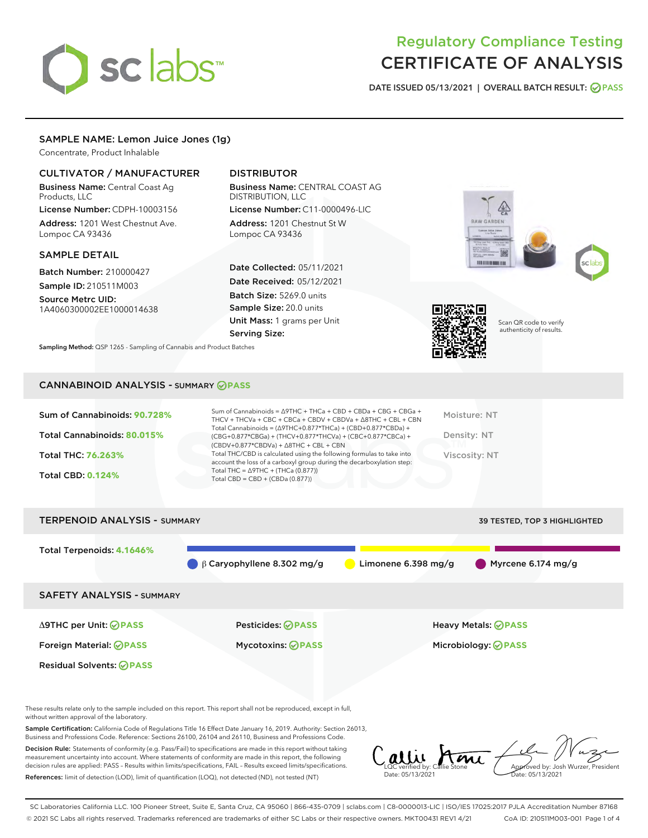# sclabs

## Regulatory Compliance Testing CERTIFICATE OF ANALYSIS

DATE ISSUED 05/13/2021 | OVERALL BATCH RESULT: @ PASS

#### SAMPLE NAME: Lemon Juice Jones (1g)

Concentrate, Product Inhalable

#### CULTIVATOR / MANUFACTURER

Business Name: Central Coast Ag Products, LLC

License Number: CDPH-10003156 Address: 1201 West Chestnut Ave. Lompoc CA 93436

#### SAMPLE DETAIL

Batch Number: 210000427 Sample ID: 210511M003

Source Metrc UID: 1A4060300002EE1000014638

### DISTRIBUTOR

Business Name: CENTRAL COAST AG DISTRIBUTION, LLC

Address: 1201 Chestnut St W Lompoc CA 93436

Date Collected: 05/11/2021 Date Received: 05/12/2021 Batch Size: 5269.0 units Sample Size: 20.0 units Unit Mass: 1 grams per Unit Serving Size:

Sampling Method: QSP 1265 - Sampling of Cannabis and Product Batches

License Number: C11-0000496-LIC







Scan QR code to verify authenticity of results.

#### CANNABINOID ANALYSIS - SUMMARY **PASS**

| Sum of Cannabinoids: 90.728%<br>Total Cannabinoids: 80.015%<br>Total THC: 76.263%<br><b>Total CBD: 0.124%</b> | Sum of Cannabinoids = $\triangle$ 9THC + THCa + CBD + CBDa + CBG + CBGa +<br>THCV + THCVa + CBC + CBCa + CBDV + CBDVa + $\land$ 8THC + CBL + CBN<br>Total Cannabinoids = $(\Delta$ 9THC+0.877*THCa) + (CBD+0.877*CBDa) +<br>$(CBG+0.877*CBGa) + (THCV+0.877*THCVa) + (CBC+0.877*CBCa) +$<br>$(CBDV+0.877*CBDVa) + \Delta 8THC + CBL + CBN$<br>Total THC/CBD is calculated using the following formulas to take into<br>account the loss of a carboxyl group during the decarboxylation step:<br>Total THC = $\triangle$ 9THC + (THCa (0.877))<br>Total CBD = $CBD + (CBDa (0.877))$ | Moisture: NT<br>Density: NT<br>Viscosity: NT |
|---------------------------------------------------------------------------------------------------------------|-------------------------------------------------------------------------------------------------------------------------------------------------------------------------------------------------------------------------------------------------------------------------------------------------------------------------------------------------------------------------------------------------------------------------------------------------------------------------------------------------------------------------------------------------------------------------------------|----------------------------------------------|
| <b>TERPENOID ANALYSIS - SUMMARY</b>                                                                           |                                                                                                                                                                                                                                                                                                                                                                                                                                                                                                                                                                                     | 39 TESTED. TOP 3 HIGHLIGHTED                 |



Residual Solvents: **OPASS** 

These results relate only to the sample included on this report. This report shall not be reproduced, except in full, without written approval of the laboratory.

Sample Certification: California Code of Regulations Title 16 Effect Date January 16, 2019. Authority: Section 26013, Business and Professions Code. Reference: Sections 26100, 26104 and 26110, Business and Professions Code.

Decision Rule: Statements of conformity (e.g. Pass/Fail) to specifications are made in this report without taking measurement uncertainty into account. Where statements of conformity are made in this report, the following decision rules are applied: PASS – Results within limits/specifications, FAIL – Results exceed limits/specifications. References: limit of detection (LOD), limit of quantification (LOQ), not detected (ND), not tested (NT)

LQC verified by: Callie Stone Date: 05/13/2021 Aved by: Josh Wurzer, President Date: 05/13/2021

SC Laboratories California LLC. 100 Pioneer Street, Suite E, Santa Cruz, CA 95060 | 866-435-0709 | sclabs.com | C8-0000013-LIC | ISO/IES 17025:2017 PJLA Accreditation Number 87168 © 2021 SC Labs all rights reserved. Trademarks referenced are trademarks of either SC Labs or their respective owners. MKT00431 REV1 4/21 CoA ID: 210511M003-001 Page 1 of 4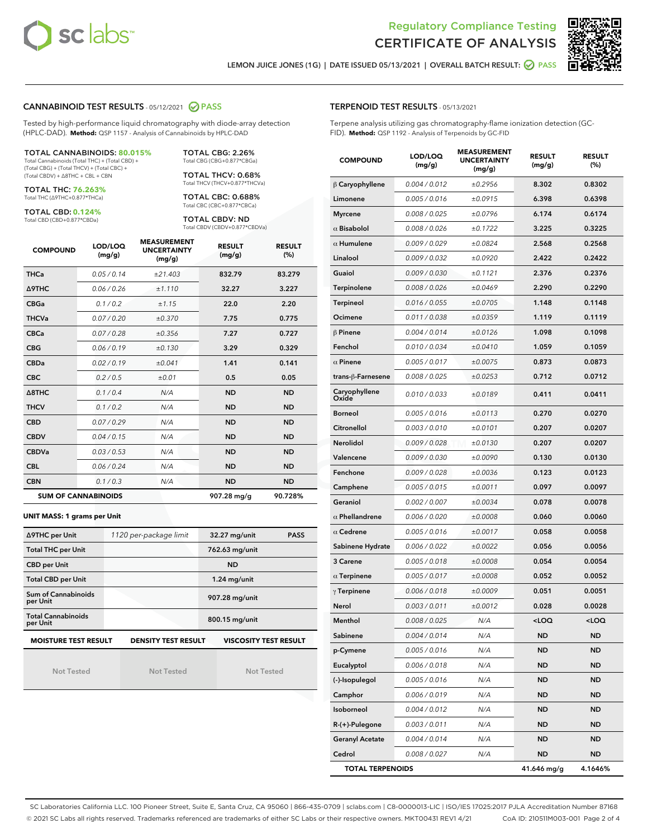



LEMON JUICE JONES (1G) | DATE ISSUED 05/13/2021 | OVERALL BATCH RESULT: @ PASS

#### CANNABINOID TEST RESULTS - 05/12/2021 2 PASS

Tested by high-performance liquid chromatography with diode-array detection (HPLC-DAD). **Method:** QSP 1157 - Analysis of Cannabinoids by HPLC-DAD

#### TOTAL CANNABINOIDS: **80.015%**

Total Cannabinoids (Total THC) + (Total CBD) + (Total CBG) + (Total THCV) + (Total CBC) + (Total CBDV) + ∆8THC + CBL + CBN

TOTAL THC: **76.263%** Total THC (∆9THC+0.877\*THCa)

TOTAL CBD: **0.124%**

Total CBD (CBD+0.877\*CBDa)

TOTAL CBG: 2.26% Total CBG (CBG+0.877\*CBGa)

TOTAL THCV: 0.68% Total THCV (THCV+0.877\*THCVa)

TOTAL CBC: 0.688% Total CBC (CBC+0.877\*CBCa)

TOTAL CBDV: ND Total CBDV (CBDV+0.877\*CBDVa)

| <b>COMPOUND</b> | LOD/LOQ<br>(mg/g)          | <b>MEASUREMENT</b><br><b>UNCERTAINTY</b><br>(mg/g) | <b>RESULT</b><br>(mg/g) | <b>RESULT</b><br>(%) |
|-----------------|----------------------------|----------------------------------------------------|-------------------------|----------------------|
| <b>THCa</b>     | 0.05/0.14                  | ±21.403                                            | 832.79                  | 83.279               |
| <b>A9THC</b>    | 0.06 / 0.26                | ±1.110                                             | 32.27                   | 3.227                |
| <b>CBGa</b>     | 0.1 / 0.2                  | ±1.15                                              | 22.0                    | 2.20                 |
| <b>THCVa</b>    | 0.07/0.20                  | ±0.370                                             | 7.75                    | 0.775                |
| <b>CBCa</b>     | 0.07/0.28                  | ±0.356                                             | 7.27                    | 0.727                |
| <b>CBG</b>      | 0.06/0.19                  | ±0.130                                             | 3.29                    | 0.329                |
| <b>CBDa</b>     | 0.02/0.19                  | ±0.041                                             | 1.41                    | 0.141                |
| <b>CBC</b>      | 0.2 / 0.5                  | $\pm 0.01$                                         | 0.5                     | 0.05                 |
| A8THC           | 0.1/0.4                    | N/A                                                | <b>ND</b>               | <b>ND</b>            |
| <b>THCV</b>     | 0.1/0.2                    | N/A                                                | <b>ND</b>               | <b>ND</b>            |
| <b>CBD</b>      | 0.07/0.29                  | N/A                                                | <b>ND</b>               | <b>ND</b>            |
| <b>CBDV</b>     | 0.04 / 0.15                | N/A                                                | <b>ND</b>               | <b>ND</b>            |
| <b>CBDVa</b>    | 0.03/0.53                  | N/A                                                | <b>ND</b>               | <b>ND</b>            |
| <b>CBL</b>      | 0.06 / 0.24                | N/A                                                | <b>ND</b>               | <b>ND</b>            |
| <b>CBN</b>      | 0.1/0.3                    | N/A                                                | <b>ND</b>               | <b>ND</b>            |
|                 | <b>SUM OF CANNABINOIDS</b> |                                                    | 907.28 mg/g             | 90.728%              |

#### **UNIT MASS: 1 grams per Unit**

| ∆9THC per Unit                        | 1120 per-package limit     | 32.27 mg/unit<br><b>PASS</b> |
|---------------------------------------|----------------------------|------------------------------|
| <b>Total THC per Unit</b>             |                            | 762.63 mg/unit               |
| <b>CBD per Unit</b>                   |                            | <b>ND</b>                    |
| <b>Total CBD per Unit</b>             |                            | $1.24$ mg/unit               |
| Sum of Cannabinoids<br>per Unit       |                            | 907.28 mg/unit               |
| <b>Total Cannabinoids</b><br>per Unit |                            | 800.15 mg/unit               |
| <b>MOISTURE TEST RESULT</b>           | <b>DENSITY TEST RESULT</b> | <b>VISCOSITY TEST RESULT</b> |

Not Tested

Not Tested

Not Tested

#### TERPENOID TEST RESULTS - 05/13/2021

Terpene analysis utilizing gas chromatography-flame ionization detection (GC-FID). **Method:** QSP 1192 - Analysis of Terpenoids by GC-FID

| <b>COMPOUND</b>         | LOD/LOQ<br>(mg/g) | <b>MEASUREMENT</b><br><b>UNCERTAINTY</b><br>(mg/g) | <b>RESULT</b><br>(mg/g)                         | <b>RESULT</b><br>(%) |
|-------------------------|-------------------|----------------------------------------------------|-------------------------------------------------|----------------------|
| $\beta$ Caryophyllene   | 0.004 / 0.012     | ±0.2956                                            | 8.302                                           | 0.8302               |
| Limonene                | 0.005 / 0.016     | ±0.0915                                            | 6.398                                           | 0.6398               |
| <b>Myrcene</b>          | 0.008 / 0.025     | ±0.0796                                            | 6.174                                           | 0.6174               |
| $\alpha$ Bisabolol      | 0.008 / 0.026     | ±0.1722                                            | 3.225                                           | 0.3225               |
| $\alpha$ Humulene       | 0.009/0.029       | ±0.0824                                            | 2.568                                           | 0.2568               |
| Linalool                | 0.009 / 0.032     | ±0.0920                                            | 2.422                                           | 0.2422               |
| Guaiol                  | 0.009 / 0.030     | ±0.1121                                            | 2.376                                           | 0.2376               |
| Terpinolene             | 0.008 / 0.026     | ±0.0469                                            | 2.290                                           | 0.2290               |
| Terpineol               | 0.016 / 0.055     | ±0.0705                                            | 1.148                                           | 0.1148               |
| Ocimene                 | 0.011 / 0.038     | ±0.0359                                            | 1.119                                           | 0.1119               |
| $\beta$ Pinene          | 0.004 / 0.014     | ±0.0126                                            | 1.098                                           | 0.1098               |
| Fenchol                 | 0.010 / 0.034     | ±0.0410                                            | 1.059                                           | 0.1059               |
| $\alpha$ Pinene         | 0.005 / 0.017     | ±0.0075                                            | 0.873                                           | 0.0873               |
| trans-ß-Farnesene       | 0.008 / 0.025     | ±0.0253                                            | 0.712                                           | 0.0712               |
| Caryophyllene<br>Oxide  | 0.010 / 0.033     | ±0.0189                                            | 0.411                                           | 0.0411               |
| <b>Borneol</b>          | 0.005 / 0.016     | ±0.0113                                            | 0.270                                           | 0.0270               |
| Citronellol             | 0.003 / 0.010     | ±0.0101                                            | 0.207                                           | 0.0207               |
| Nerolidol               | 0.009 / 0.028     | ±0.0130                                            | 0.207                                           | 0.0207               |
| Valencene               | 0.009 / 0.030     | ±0.0090                                            | 0.130                                           | 0.0130               |
| Fenchone                | 0.009 / 0.028     | ±0.0036                                            | 0.123                                           | 0.0123               |
| Camphene                | 0.005 / 0.015     | ±0.0011                                            | 0.097                                           | 0.0097               |
| Geraniol                | 0.002 / 0.007     | ±0.0034                                            | 0.078                                           | 0.0078               |
| $\alpha$ Phellandrene   | 0.006 / 0.020     | ±0.0008                                            | 0.060                                           | 0.0060               |
| $\alpha$ Cedrene        | 0.005 / 0.016     | ±0.0017                                            | 0.058                                           | 0.0058               |
| Sabinene Hydrate        | 0.006 / 0.022     | ±0.0022                                            | 0.056                                           | 0.0056               |
| 3 Carene                | 0.005 / 0.018     | ±0.0008                                            | 0.054                                           | 0.0054               |
| $\alpha$ Terpinene      | 0.005 / 0.017     | ±0.0008                                            | 0.052                                           | 0.0052               |
| $\gamma$ Terpinene      | 0.006 / 0.018     | ±0.0009                                            | 0.051                                           | 0.0051               |
| Nerol                   | 0.003 / 0.011     | ±0.0012                                            | 0.028                                           | 0.0028               |
| Menthol                 | 0.008 / 0.025     | N/A                                                | <loq< th=""><th><loq< th=""></loq<></th></loq<> | <loq< th=""></loq<>  |
| Sabinene                | 0.004 / 0.014     | N/A                                                | ND                                              | ND                   |
| p-Cymene                | 0.005 / 0.016     | N/A                                                | ND                                              | ND                   |
| Eucalyptol              | 0.006 / 0.018     | N/A                                                | ND                                              | ND                   |
| (-)-Isopulegol          | 0.005 / 0.016     | N/A                                                | ND                                              | ND                   |
| Camphor                 | 0.006 / 0.019     | N/A                                                | ND                                              | ND                   |
| Isoborneol              | 0.004 / 0.012     | N/A                                                | <b>ND</b>                                       | ND                   |
| R-(+)-Pulegone          | 0.003 / 0.011     | N/A                                                | ND                                              | ND                   |
| <b>Geranyl Acetate</b>  | 0.004 / 0.014     | N/A                                                | ND                                              | ND                   |
| Cedrol                  | 0.008 / 0.027     | N/A                                                | <b>ND</b>                                       | ND                   |
| <b>TOTAL TERPENOIDS</b> |                   |                                                    | 41.646 mg/g                                     | 4.1646%              |

SC Laboratories California LLC. 100 Pioneer Street, Suite E, Santa Cruz, CA 95060 | 866-435-0709 | sclabs.com | C8-0000013-LIC | ISO/IES 17025:2017 PJLA Accreditation Number 87168 © 2021 SC Labs all rights reserved. Trademarks referenced are trademarks of either SC Labs or their respective owners. MKT00431 REV1 4/21 CoA ID: 210511M003-001 Page 2 of 4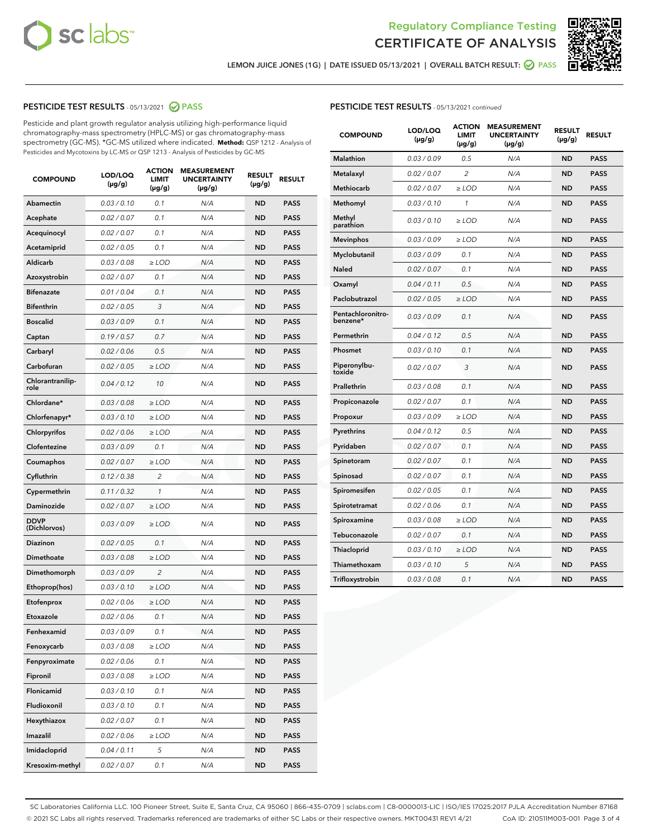



LEMON JUICE JONES (1G) | DATE ISSUED 05/13/2021 | OVERALL BATCH RESULT: @ PASS

#### PESTICIDE TEST RESULTS - 05/13/2021 @ PASS

Pesticide and plant growth regulator analysis utilizing high-performance liquid chromatography-mass spectrometry (HPLC-MS) or gas chromatography-mass spectrometry (GC-MS). \*GC-MS utilized where indicated. **Method:** QSP 1212 - Analysis of Pesticides and Mycotoxins by LC-MS or QSP 1213 - Analysis of Pesticides by GC-MS

| <b>COMPOUND</b>             | LOD/LOQ<br>$(\mu g/g)$ | <b>ACTION</b><br>LIMIT<br>(µg/g) | <b>MEASUREMENT</b><br><b>UNCERTAINTY</b><br>$(\mu g/g)$ | <b>RESULT</b><br>(µg/g) | <b>RESULT</b> |
|-----------------------------|------------------------|----------------------------------|---------------------------------------------------------|-------------------------|---------------|
| <b>Abamectin</b>            | 0.03 / 0.10            | 0.1                              | N/A                                                     | <b>ND</b>               | <b>PASS</b>   |
| Acephate                    | 0.02 / 0.07            | 0.1                              | N/A                                                     | <b>ND</b>               | <b>PASS</b>   |
| Acequinocyl                 | 0.02 / 0.07            | 0.1                              | N/A                                                     | ND                      | <b>PASS</b>   |
| Acetamiprid                 | 0.02 / 0.05            | 0.1                              | N/A                                                     | <b>ND</b>               | <b>PASS</b>   |
| Aldicarb                    | 0.03 / 0.08            | $\geq$ LOD                       | N/A                                                     | <b>ND</b>               | <b>PASS</b>   |
| Azoxystrobin                | 0.02 / 0.07            | 0.1                              | N/A                                                     | ND                      | <b>PASS</b>   |
| <b>Bifenazate</b>           | 0.01 / 0.04            | 0.1                              | N/A                                                     | <b>ND</b>               | <b>PASS</b>   |
| <b>Bifenthrin</b>           | 0.02 / 0.05            | 3                                | N/A                                                     | <b>ND</b>               | <b>PASS</b>   |
| <b>Boscalid</b>             | 0.03/0.09              | 0.1                              | N/A                                                     | ND                      | <b>PASS</b>   |
| Captan                      | 0.19/0.57              | 0.7                              | N/A                                                     | <b>ND</b>               | <b>PASS</b>   |
| Carbaryl                    | 0.02 / 0.06            | 0.5                              | N/A                                                     | <b>ND</b>               | <b>PASS</b>   |
| Carbofuran                  | 0.02 / 0.05            | ≥ LOD                            | N/A                                                     | ND                      | PASS          |
| Chlorantranilip-<br>role    | 0.04 / 0.12            | 10                               | N/A                                                     | <b>ND</b>               | <b>PASS</b>   |
| Chlordane*                  | 0.03 / 0.08            | ≥ LOD                            | N/A                                                     | <b>ND</b>               | <b>PASS</b>   |
| Chlorfenapyr*               | 0.03 / 0.10            | ≥ LOD                            | N/A                                                     | <b>ND</b>               | <b>PASS</b>   |
| Chlorpyrifos                | 0.02 / 0.06            | ≥ LOD                            | N/A                                                     | ND                      | <b>PASS</b>   |
| Clofentezine                | 0.03 / 0.09            | 0.1                              | N/A                                                     | <b>ND</b>               | <b>PASS</b>   |
| Coumaphos                   | 0.02 / 0.07            | ≥ LOD                            | N/A                                                     | <b>ND</b>               | <b>PASS</b>   |
| Cyfluthrin                  | 0.12 / 0.38            | $\overline{c}$                   | N/A                                                     | ND                      | <b>PASS</b>   |
| Cypermethrin                | 0.11 / 0.32            | $\mathcal{I}$                    | N/A                                                     | ND                      | <b>PASS</b>   |
| Daminozide                  | 0.02 / 0.07            | $\geq$ LOD                       | N/A                                                     | <b>ND</b>               | <b>PASS</b>   |
| <b>DDVP</b><br>(Dichlorvos) | 0.03 / 0.09            | $\geq$ LOD                       | N/A                                                     | <b>ND</b>               | <b>PASS</b>   |
| <b>Diazinon</b>             | 0.02 / 0.05            | 0.1                              | N/A                                                     | <b>ND</b>               | <b>PASS</b>   |
| Dimethoate                  | 0.03 / 0.08            | ≥ LOD                            | N/A                                                     | <b>ND</b>               | <b>PASS</b>   |
| Dimethomorph                | 0.03/0.09              | $\overline{2}$                   | N/A                                                     | ND                      | <b>PASS</b>   |
| Ethoprop(hos)               | 0.03/0.10              | $\ge$ LOD                        | N/A                                                     | <b>ND</b>               | <b>PASS</b>   |
| Etofenprox                  | 0.02 / 0.06            | ≥ LOD                            | N/A                                                     | <b>ND</b>               | <b>PASS</b>   |
| Etoxazole                   | 0.02 / 0.06            | 0.1                              | N/A                                                     | <b>ND</b>               | <b>PASS</b>   |
| Fenhexamid                  | 0.03 / 0.09            | 0.1                              | N/A                                                     | ND                      | <b>PASS</b>   |
| Fenoxycarb                  | 0.03 / 0.08            | ≥ LOD                            | N/A                                                     | ND                      | <b>PASS</b>   |
| Fenpyroximate               | 0.02 / 0.06            | 0.1                              | N/A                                                     | <b>ND</b>               | <b>PASS</b>   |
| Fipronil                    | 0.03 / 0.08            | $\ge$ LOD                        | N/A                                                     | <b>ND</b>               | <b>PASS</b>   |
| Flonicamid                  | 0.03 / 0.10            | 0.1                              | N/A                                                     | <b>ND</b>               | <b>PASS</b>   |
| Fludioxonil                 | 0.03 / 0.10            | 0.1                              | N/A                                                     | <b>ND</b>               | <b>PASS</b>   |
| Hexythiazox                 | 0.02 / 0.07            | 0.1                              | N/A                                                     | <b>ND</b>               | <b>PASS</b>   |
| Imazalil                    | 0.02 / 0.06            | ≥ LOD                            | N/A                                                     | <b>ND</b>               | <b>PASS</b>   |
| Imidacloprid                | 0.04 / 0.11            | 5                                | N/A                                                     | <b>ND</b>               | <b>PASS</b>   |
| Kresoxim-methyl             | 0.02 / 0.07            | 0.1                              | N/A                                                     | ND                      | <b>PASS</b>   |

#### PESTICIDE TEST RESULTS - 05/13/2021 continued

| <b>COMPOUND</b>               | LOD/LOQ<br>$(\mu g/g)$ | <b>ACTION</b><br><b>LIMIT</b><br>$(\mu g/g)$ | <b>MEASUREMENT</b><br><b>UNCERTAINTY</b><br>$(\mu g/g)$ | <b>RESULT</b><br>(µg/g) | <b>RESULT</b> |
|-------------------------------|------------------------|----------------------------------------------|---------------------------------------------------------|-------------------------|---------------|
| <b>Malathion</b>              | 0.03 / 0.09            | 0.5                                          | N/A                                                     | <b>ND</b>               | <b>PASS</b>   |
| Metalaxyl                     | 0.02 / 0.07            | 2                                            | N/A                                                     | <b>ND</b>               | <b>PASS</b>   |
| <b>Methiocarb</b>             | 0.02 / 0.07            | $\geq$ LOD                                   | N/A                                                     | <b>ND</b>               | <b>PASS</b>   |
| Methomyl                      | 0.03 / 0.10            | $\mathbf{1}$                                 | N/A                                                     | ND                      | <b>PASS</b>   |
| Methyl<br>parathion           | 0.03/0.10              | $\geq$ LOD                                   | N/A                                                     | <b>ND</b>               | <b>PASS</b>   |
| <b>Mevinphos</b>              | 0.03 / 0.09            | $\geq$ LOD                                   | N/A                                                     | <b>ND</b>               | <b>PASS</b>   |
| Myclobutanil                  | 0.03 / 0.09            | 0.1                                          | N/A                                                     | <b>ND</b>               | <b>PASS</b>   |
| Naled                         | 0.02 / 0.07            | 0.1                                          | N/A                                                     | <b>ND</b>               | <b>PASS</b>   |
| Oxamyl                        | 0.04 / 0.11            | 0.5                                          | N/A                                                     | <b>ND</b>               | <b>PASS</b>   |
| Paclobutrazol                 | 0.02 / 0.05            | ≥ LOD                                        | N/A                                                     | <b>ND</b>               | PASS          |
| Pentachloronitro-<br>benzene* | 0.03 / 0.09            | 0.1                                          | N/A                                                     | ND                      | <b>PASS</b>   |
| Permethrin                    | 0.04/0.12              | 0.5                                          | N/A                                                     | <b>ND</b>               | <b>PASS</b>   |
| Phosmet                       | 0.03 / 0.10            | 0.1                                          | N/A                                                     | <b>ND</b>               | <b>PASS</b>   |
| Piperonylbu-<br>toxide        | 0.02 / 0.07            | 3                                            | N/A                                                     | <b>ND</b>               | <b>PASS</b>   |
| Prallethrin                   | 0.03 / 0.08            | 0.1                                          | N/A                                                     | <b>ND</b>               | <b>PASS</b>   |
| Propiconazole                 | 0.02 / 0.07            | 0.1                                          | N/A                                                     | <b>ND</b>               | <b>PASS</b>   |
| Propoxur                      | 0.03 / 0.09            | $\geq$ LOD                                   | N/A                                                     | <b>ND</b>               | <b>PASS</b>   |
| Pyrethrins                    | 0.04/0.12              | 0.5                                          | N/A                                                     | <b>ND</b>               | <b>PASS</b>   |
| Pyridaben                     | 0.02 / 0.07            | 0.1                                          | N/A                                                     | <b>ND</b>               | <b>PASS</b>   |
| Spinetoram                    | 0.02 / 0.07            | 0.1                                          | N/A                                                     | ND                      | <b>PASS</b>   |
| Spinosad                      | 0.02 / 0.07            | 0.1                                          | N/A                                                     | <b>ND</b>               | <b>PASS</b>   |
| Spiromesifen                  | 0.02 / 0.05            | 0.1                                          | N/A                                                     | <b>ND</b>               | <b>PASS</b>   |
| Spirotetramat                 | 0.02 / 0.06            | 0.1                                          | N/A                                                     | <b>ND</b>               | <b>PASS</b>   |
| Spiroxamine                   | 0.03 / 0.08            | $\geq$ LOD                                   | N/A                                                     | <b>ND</b>               | <b>PASS</b>   |
| Tebuconazole                  | 0.02 / 0.07            | 0.1                                          | N/A                                                     | <b>ND</b>               | <b>PASS</b>   |
| Thiacloprid                   | 0.03 / 0.10            | $\geq$ LOD                                   | N/A                                                     | <b>ND</b>               | <b>PASS</b>   |
| Thiamethoxam                  | 0.03 / 0.10            | 5                                            | N/A                                                     | <b>ND</b>               | <b>PASS</b>   |
| Trifloxystrobin               | 0.03 / 0.08            | 0.1                                          | N/A                                                     | <b>ND</b>               | <b>PASS</b>   |

SC Laboratories California LLC. 100 Pioneer Street, Suite E, Santa Cruz, CA 95060 | 866-435-0709 | sclabs.com | C8-0000013-LIC | ISO/IES 17025:2017 PJLA Accreditation Number 87168 © 2021 SC Labs all rights reserved. Trademarks referenced are trademarks of either SC Labs or their respective owners. MKT00431 REV1 4/21 CoA ID: 210511M003-001 Page 3 of 4